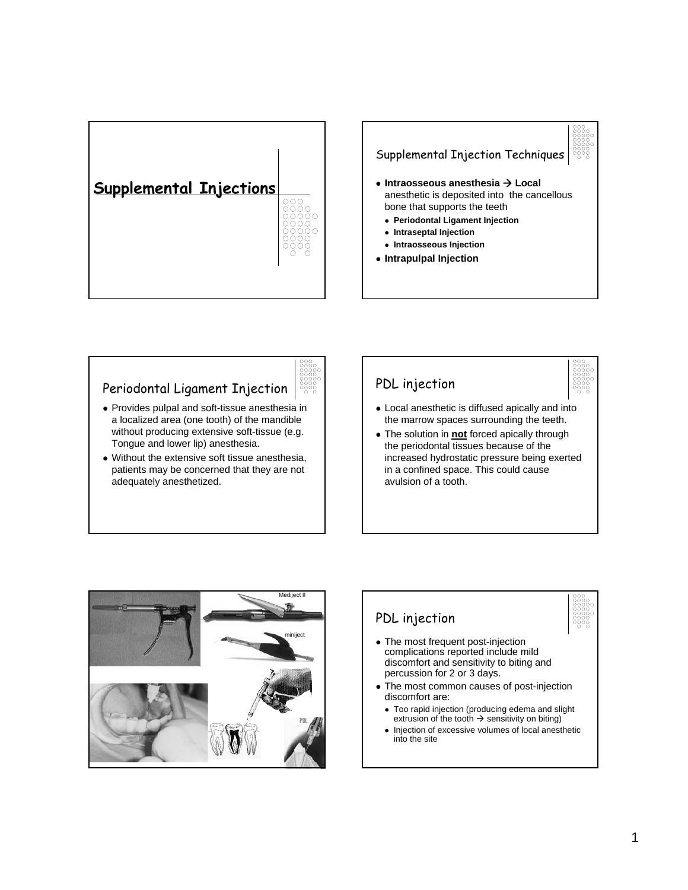



#### Periodontal Ligament Injection

- Provides pulpal and soft-tissue anesthesia in a localized area (one tooth) of the mandible without producing extensive soft-tissue (e.g. Tongue and lower lip) anesthesia.
- $\bullet$  Without the extensive soft tissue anesthesia, patients may be concerned that they are not adequately anesthetized.

# PDL injection • Local anesthetic is diffused apically and into

the marrow spaces surrounding the teeth. • The solution in **not** forced apically through the periodontal tissues because of the increased hydrostatic pressure being exerted in a confined space. This could cause avulsion of a tooth.





- discomfort are: • Too rapid injection (producing edema and slight extrusion of the tooth  $\rightarrow$  sensitivity on biting)
- Injection of excessive volumes of local anesthetic into the site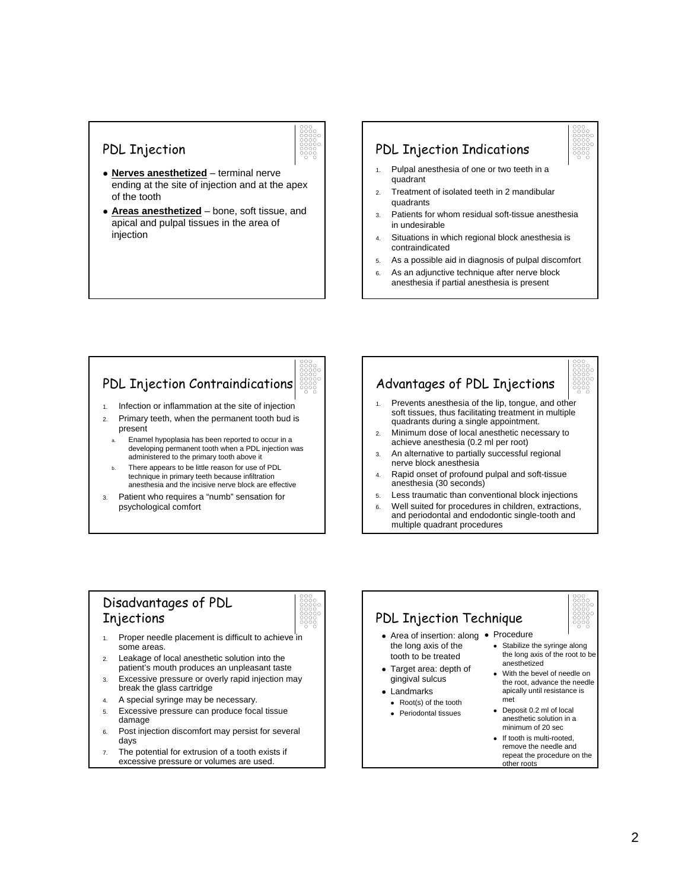#### PDL Injection



- **Nerves anesthetized** terminal nerve ending at the site of injection and at the apex of the tooth
- Areas anesthetized bone, soft tissue, and apical and pulpal tissues in the area of injection

## PDL Injection Indications

- 1. Pulpal anesthesia of one or two teeth in a quadrant
- 2. Treatment of isolated teeth in 2 mandibular quadrants
- 3. Patients for whom residual soft-tissue anesthesia in undesirable
- 4. Situations in which regional block anesthesia is contraindicated
- 5. As a possible aid in diagnosis of pulpal discomfort
- 6. As an adjunctive technique after nerve block anesthesia if partial anesthesia is present

## PDL Injection Contraindications

- 1. Infection or inflammation at the site of injection
- 2. Primary teeth, when the permanent tooth bud is present
	- a. Enamel hypoplasia has been reported to occur in a developing permanent tooth when a PDL injection was administered to the primary tooth above it
- There appears to be little reason for use of PDL technique in primary teeth because infiltration anesthesia and the incisive nerve block are effective
- 3. Patient who requires a "numb" sensation for psychological comfort

# Advantages of PDL Injections

- 1. Prevents anesthesia of the lip, tongue, and other soft tissues, thus facilitating treatment in multiple quadrants during a single appointment.
- 2. Minimum dose of local anesthetic necessary to achieve anesthesia (0.2 ml per root)
- 3. An alternative to partially successful regional nerve block anesthesia
- 4. Rapid onset of profound pulpal and soft-tissue anesthesia (30 seconds)
- 5. Less traumatic than conventional block injections
- 6. Well suited for procedures in children, extractions, and periodontal and endodontic single-tooth and multiple quadrant procedures

#### Disadvantages of PDL Injections



- 1. Proper needle placement is difficult to achieve in some areas.
- 2. Leakage of local anesthetic solution into the patient's mouth produces an unpleasant taste
- 3. Excessive pressure or overly rapid injection may break the glass cartridge
- 4. A special syringe may be necessary.
- 5. Excessive pressure can produce focal tissue damage
- 6. Post injection discomfort may persist for several days
- 7. The potential for extrusion of a tooth exists if excessive pressure or volumes are used.

# PDL Injection Technique

- Area of insertion: along Procedure the long axis of the tooth to be treated
- Target area: depth of gingival sulcus
- Landmarks
	- Root(s) of the tooth
	- **Periodontal tissues**



- Stabilize the syringe along the long axis of the root to be anesthetized
- With the bevel of needle on the root, advance the needle apically until resistance is met
- Deposit 0.2 ml of local anesthetic solution in a minimum of 20 sec
- If tooth is multi-rooted, remove the needle and repeat the procedure on the other roots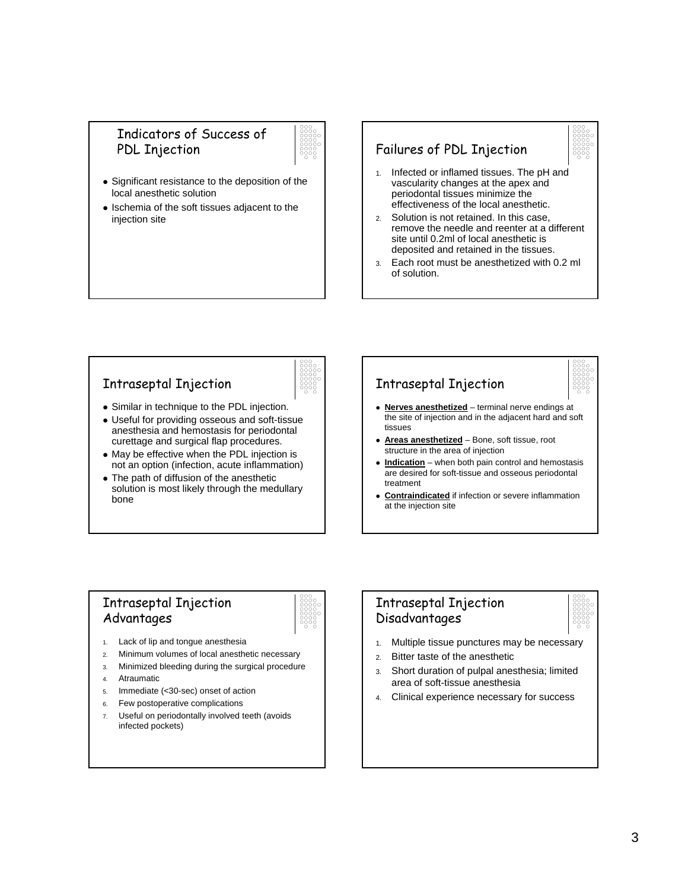#### Indicators of Success of PDL Injection



- Significant resistance to the deposition of the local anesthetic solution
- Ischemia of the soft tissues adjacent to the injection site

#### Failures of PDL Injection



- 2. Solution is not retained. In this case, remove the needle and reenter at a different site until 0.2ml of local anesthetic is deposited and retained in the tissues.
- 3. Each root must be anesthetized with 0.2 ml of solution.

#### Intraseptal Injection



- Similar in technique to the PDL injection.
- Useful for providing osseous and soft-tissue anesthesia and hemostasis for periodontal curettage and surgical flap procedures.
- May be effective when the PDL injection is not an option (infection, acute inflammation)
- The path of diffusion of the anesthetic solution is most likely through the medullary bone

# Intraseptal Injection



- Nerves anesthetized terminal nerve endings at the site of injection and in the adjacent hard and soft ticcupe
- **Areas anesthetized** Bone, soft tissue, root structure in the area of injection
- Indication when both pain control and hemostasis are desired for soft-tissue and osseous periodontal treatment
- **Contraindicated** if infection or severe inflammation at the injection site

#### Intraseptal Injection Advantages



- 1. Lack of lip and tongue anesthesia
- 2. Minimum volumes of local anesthetic necessary
- 3. Minimized bleeding during the surgical procedure
- 4. Atraumatic
- 5. Immediate (<30-sec) onset of action
- 6. Few postoperative complications
- 7. Useful on periodontally involved teeth (avoids infected pockets)

#### Intraseptal Injection Disadvantages



- 1. Multiple tissue punctures may be necessary
- 2. Bitter taste of the anesthetic
- 3. Short duration of pulpal anesthesia; limited area of soft-tissue anesthesia
- 4. Clinical experience necessary for success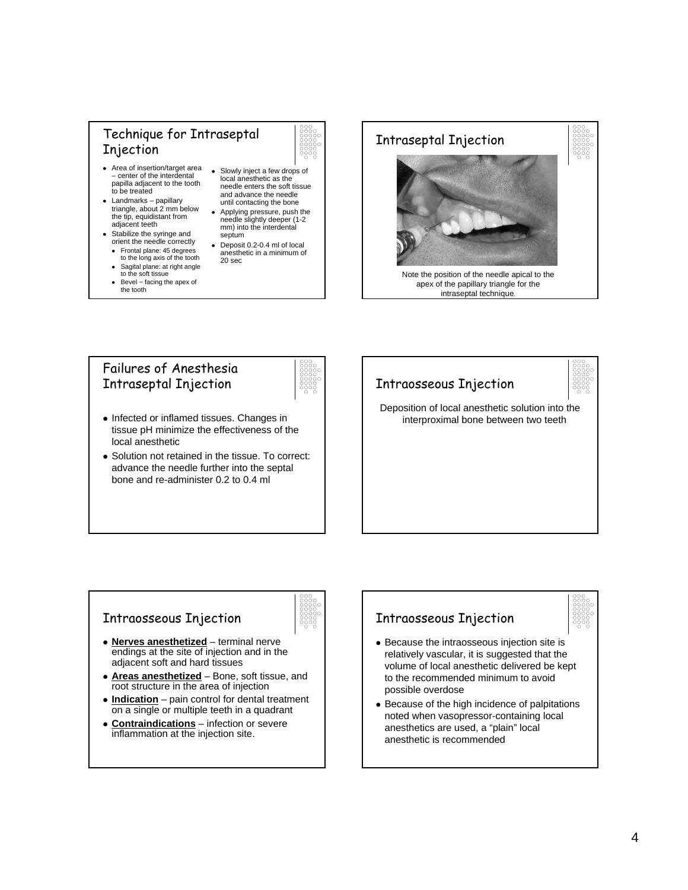#### Technique for Intraseptal Injection



- Area of insertion/target area – center of the interdental papilla adjacent to the tooth to be treated
- $\bullet$  Landmarks papillary triangle, about 2 mm below the tip, equidistant from adjacent teeth
- $\bullet$  Stabilize the syringe and orient the needle correctly
	- Frontal plane: 45 degrees to the long axis of the tooth
	- Sagital plane: at right angle<br>to the soft tissue
	- $\bullet$  Bevel ~ facing the apex of the tooth
- Slowly inject a few drops of local anesthetic as the needle enters the soft tissue and advance the needle until contacting the bone
- Applying pressure, push the needle slightly deeper (1-2 mm) into the interdental septum
- Deposit 0.2-0.4 ml of local anesthetic in a minimum of 20 sec



#### Failures of Anesthesia Intraseptal Injection



- Infected or inflamed tissues. Changes in tissue pH minimize the effectiveness of the local anesthetic
- Solution not retained in the tissue. To correct: advance the needle further into the septal bone and re-administer 0.2 to 0.4 ml



#### Intraosseous Injection



- Nerves anesthetized terminal nerve endings at the site of injection and in the adjacent soft and hard tissues
- Areas anesthetized Bone, soft tissue, and root structure in the area of injection
- **Indication** pain control for dental treatment on a single or multiple teeth in a quadrant
- **Contraindications** infection or severe inflammation at the injection site.

## Intraosseous Injection



- Because the intraosseous injection site is relatively vascular, it is suggested that the volume of local anesthetic delivered be kept to the recommended minimum to avoid possible overdose
- Because of the high incidence of palpitations noted when vasopressor-containing local anesthetics are used, a "plain" local anesthetic is recommended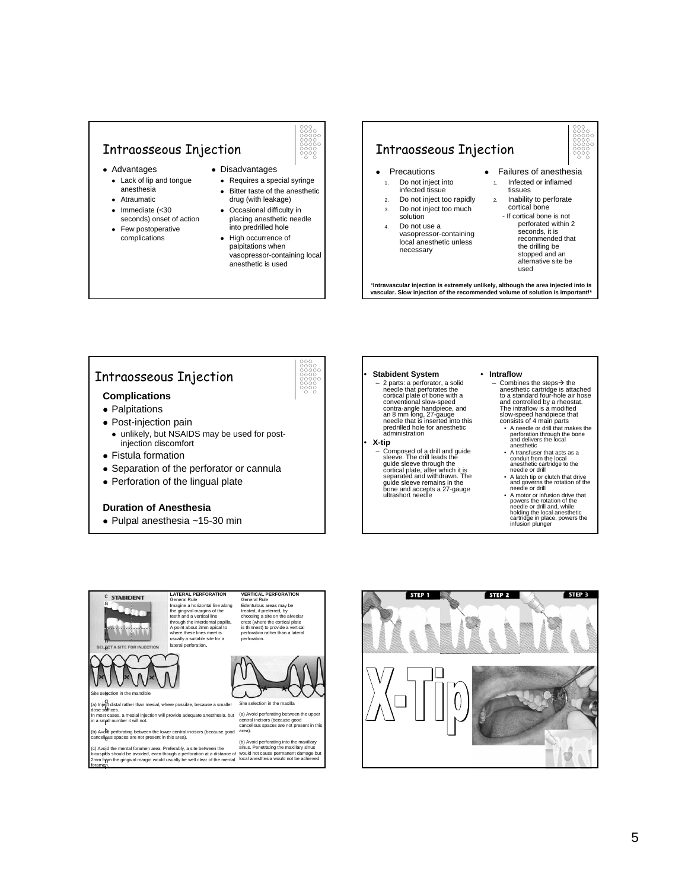#### Intraosseous Injection

- Advantages
	- Lack of lip and tongue anesthesia
	- Atraumatic
	- $\epsilon$  Immediate  $\epsilon$ 30 seconds) onset of action
	- Few postoperative complications



- Disadvantages • Requires a special syringe
	- Bitter taste of the anesthetic drug (with leakage)
	- Occasional difficulty in placing anesthetic needle into predrilled hole
	- High occurrence of palpitations when vasopressor-containing local anesthetic is used

#### Intraosseous Injection

- **Precautions** 
	- 1. Do not inject into infected tissue
	- 2. Do not inject too rapidly
- 3. Do not inject too much solution
- 4. Do not use a vasopressor-containing local anesthetic unless necessary
- **•** Failures of anesthesia 1. Infected or inflamed
	- tissues 2. Inability to perforate cortical bone
		- If cortical bone is not perforated within 2 seconds, it is recommended that the drilling be stopped and an alternative site be used

\***Intravascular injection is extremely unlikely, although the area injected into is vascular. Slow injection of the recommended volume of solution is important!\***

#### Intraosseous Injection

#### **Complications**

• Palpitations

i

- Post-injection pain
	- unlikely, but NSAIDS may be used for postinjection discomfort
- Fistula formation
- Separation of the perforator or cannula
- $\bullet$  Perforation of the lingual plate

#### **Duration of Anesthesia**

 $\bullet$  Pulpal anesthesia ~15-30 min



#### • **Stabident System**

– 2 parts: a perforator, a solid needle that perforates the cortical plate of bone with a conventional slow-speed contra-angle handpiece, and an 8 mm long, 27-gauge<br>needle that is inserted into this predrilled hole for anesthetic administration

#### • **X-tip**

– Composed of a drill and guide sleeve. The drill leads the guide sleeve through the cortical plate, after which it is separated and withdrawn. The guide sleeve remains in the bone and accepts a 27-gauge ultrashort needle

- **Intraflow**<br>- Combines the steps  $\rightarrow$  the – Combines the steps $\rightarrow$  the<br>anesthetic cartridge is attached<br>to a standard four-hole air hose and controlled by a rheostat. The intraflow is a modified slow-speed handpiece that consists of 4 main parts
	- A needle or drill that makes the perforation through the bone and delivers the local anesthetic
	- A transfuser that acts as a conduit from the local anesthetic cartridge to the needle or drill
	- A latch tip or clutch that drive and governs the rotation of the needle or drill
	- A motor or infusion drive that powers the rotation of the needle or drill and, while holding the local anesthetic cartridge in place, powers the infusion plunger



uose sances.<br>In most cases, a mesial injection will provide adequate anesthesia, but (a) Avoid p<br>in a small numher it will not.

- in a small number it will not.<br>'
- (b) Avoid perforating between the lower central incisors (because good area).<br>cancellous spaces are not present in this area).

bicuspids should be avoided, even though a perforation at a distance of would not cause permanent damage but<br>2mm fram the gingival margin would usually be well clear of the mental kocal anesthesia would not be achieved. t (c) Avoid the mental foramen area. Preferably, a site between the foramen.





(a) Avoid perforating between the upper central incisors (because good cancellous spaces are not present in this

(b) Avoid perforating into the maxillary sinus. Penetrating the maxillary sinus

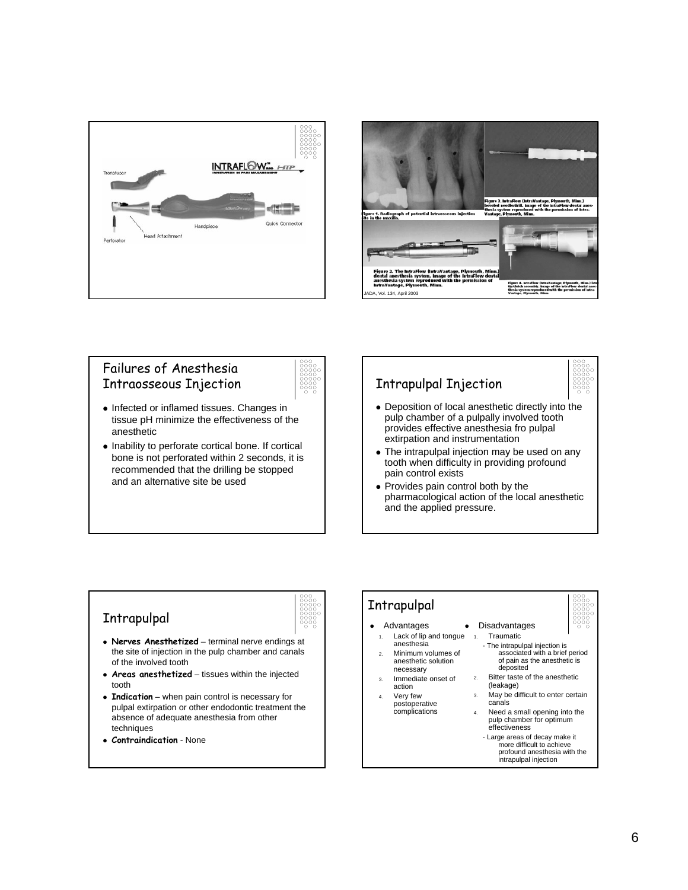



#### Failures of Anesthesia Intraosseous Injection



- Infected or inflamed tissues. Changes in tissue pH minimize the effectiveness of the anesthetic
- $\bullet$  Inability to perforate cortical bone. If cortical bone is not perforated within 2 seconds, it is recommended that the drilling be stopped and an alternative site be used

# Intrapulpal Injection

- Deposition of local anesthetic directly into the pulp chamber of a pulpally involved tooth provides effective anesthesia fro pulpal extirpation and instrumentation
- The intrapulpal injection may be used on any tooth when difficulty in providing profound pain control exists
- Provides pain control both by the pharmacological action of the local anesthetic and the applied pressure.

## Intrapulpal



- Nerves Anesthetized terminal nerve endings at the site of injection in the pulp chamber and canals of the involved tooth
- Areas anesthetized tissues within the injected tooth
- Indication when pain control is necessary for pulpal extirpation or other endodontic treatment the absence of adequate anesthesia from other techniques
- <sup>z</sup> **Contraindication** None